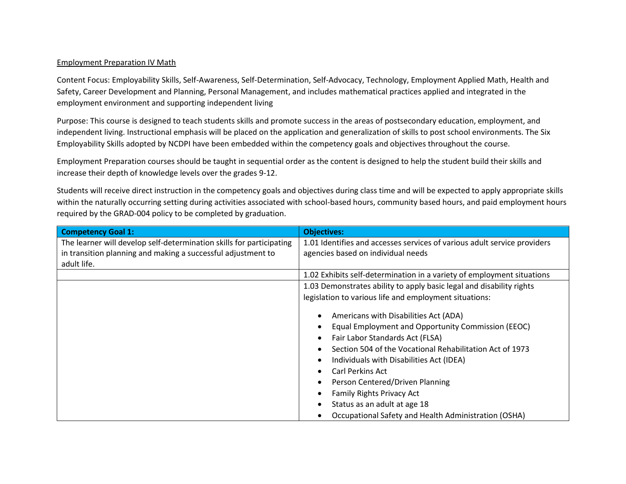## Employment Preparation IV Math

Content Focus: Employability Skills, Self-Awareness, Self-Determination, Self-Advocacy, Technology, Employment Applied Math, Health and Safety, Career Development and Planning, Personal Management, and includes mathematical practices applied and integrated in the employment environment and supporting independent living

Purpose: This course is designed to teach students skills and promote success in the areas of postsecondary education, employment, and independent living. Instructional emphasis will be placed on the application and generalization of skills to post school environments. The Six Employability Skills adopted by NCDPI have been embedded within the competency goals and objectives throughout the course.

Employment Preparation courses should be taught in sequential order as the content is designed to help the student build their skills and increase their depth of knowledge levels over the grades 9-12.

Students will receive direct instruction in the competency goals and objectives during class time and will be expected to apply appropriate skills within the naturally occurring setting during activities associated with school-based hours, community based hours, and paid employment hours required by the GRAD-004 policy to be completed by graduation.

| <b>Competency Goal 1:</b>                                            | <b>Objectives:</b>                                                       |
|----------------------------------------------------------------------|--------------------------------------------------------------------------|
| The learner will develop self-determination skills for participating | 1.01 Identifies and accesses services of various adult service providers |
| in transition planning and making a successful adjustment to         | agencies based on individual needs                                       |
| adult life.                                                          |                                                                          |
|                                                                      | 1.02 Exhibits self-determination in a variety of employment situations   |
|                                                                      | 1.03 Demonstrates ability to apply basic legal and disability rights     |
|                                                                      | legislation to various life and employment situations:                   |
|                                                                      | Americans with Disabilities Act (ADA)                                    |
|                                                                      | Equal Employment and Opportunity Commission (EEOC)                       |
|                                                                      | Fair Labor Standards Act (FLSA)                                          |
|                                                                      | Section 504 of the Vocational Rehabilitation Act of 1973                 |
|                                                                      | Individuals with Disabilities Act (IDEA)                                 |
|                                                                      | Carl Perkins Act                                                         |
|                                                                      | Person Centered/Driven Planning                                          |
|                                                                      | <b>Family Rights Privacy Act</b>                                         |
|                                                                      | Status as an adult at age 18                                             |
|                                                                      | Occupational Safety and Health Administration (OSHA)                     |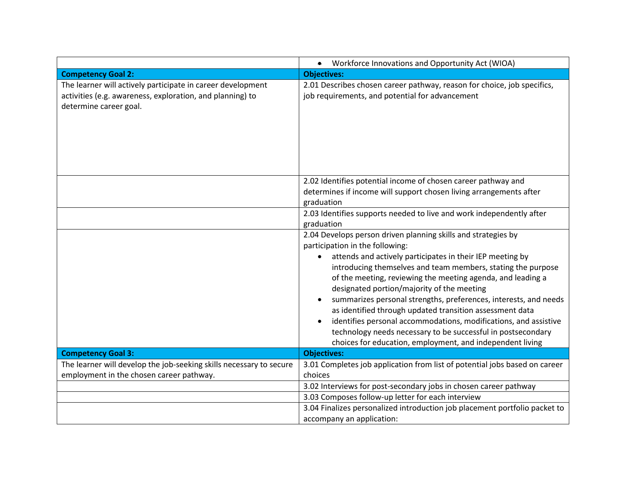|                                                                                                                                                    | Workforce Innovations and Opportunity Act (WIOA)<br>$\bullet$                                                                                                                                                                                                                                                                                                                                                                                                                                                                                                                                                                                                                                     |
|----------------------------------------------------------------------------------------------------------------------------------------------------|---------------------------------------------------------------------------------------------------------------------------------------------------------------------------------------------------------------------------------------------------------------------------------------------------------------------------------------------------------------------------------------------------------------------------------------------------------------------------------------------------------------------------------------------------------------------------------------------------------------------------------------------------------------------------------------------------|
| <b>Competency Goal 2:</b>                                                                                                                          | <b>Objectives:</b>                                                                                                                                                                                                                                                                                                                                                                                                                                                                                                                                                                                                                                                                                |
| The learner will actively participate in career development<br>activities (e.g. awareness, exploration, and planning) to<br>determine career goal. | 2.01 Describes chosen career pathway, reason for choice, job specifics,<br>job requirements, and potential for advancement                                                                                                                                                                                                                                                                                                                                                                                                                                                                                                                                                                        |
|                                                                                                                                                    | 2.02 Identifies potential income of chosen career pathway and<br>determines if income will support chosen living arrangements after<br>graduation                                                                                                                                                                                                                                                                                                                                                                                                                                                                                                                                                 |
|                                                                                                                                                    | 2.03 Identifies supports needed to live and work independently after<br>graduation                                                                                                                                                                                                                                                                                                                                                                                                                                                                                                                                                                                                                |
| <b>Competency Goal 3:</b>                                                                                                                          | 2.04 Develops person driven planning skills and strategies by<br>participation in the following:<br>attends and actively participates in their IEP meeting by<br>introducing themselves and team members, stating the purpose<br>of the meeting, reviewing the meeting agenda, and leading a<br>designated portion/majority of the meeting<br>summarizes personal strengths, preferences, interests, and needs<br>as identified through updated transition assessment data<br>identifies personal accommodations, modifications, and assistive<br>technology needs necessary to be successful in postsecondary<br>choices for education, employment, and independent living<br><b>Objectives:</b> |
| The learner will develop the job-seeking skills necessary to secure                                                                                | 3.01 Completes job application from list of potential jobs based on career                                                                                                                                                                                                                                                                                                                                                                                                                                                                                                                                                                                                                        |
| employment in the chosen career pathway.                                                                                                           | choices                                                                                                                                                                                                                                                                                                                                                                                                                                                                                                                                                                                                                                                                                           |
|                                                                                                                                                    | 3.02 Interviews for post-secondary jobs in chosen career pathway                                                                                                                                                                                                                                                                                                                                                                                                                                                                                                                                                                                                                                  |
|                                                                                                                                                    | 3.03 Composes follow-up letter for each interview                                                                                                                                                                                                                                                                                                                                                                                                                                                                                                                                                                                                                                                 |
|                                                                                                                                                    | 3.04 Finalizes personalized introduction job placement portfolio packet to<br>accompany an application:                                                                                                                                                                                                                                                                                                                                                                                                                                                                                                                                                                                           |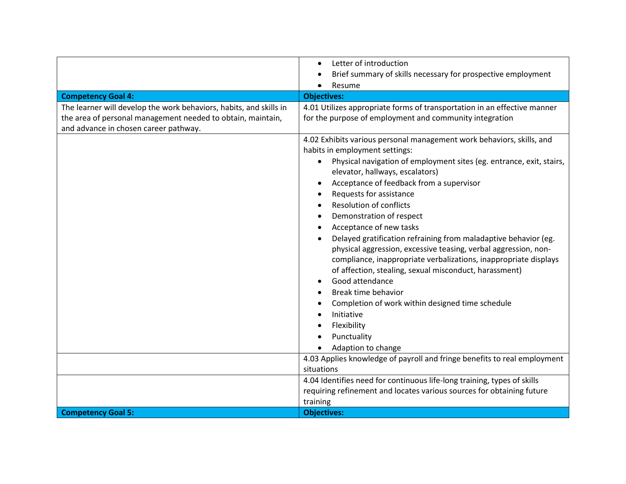|                                                                    | Letter of introduction                                                            |
|--------------------------------------------------------------------|-----------------------------------------------------------------------------------|
|                                                                    | Brief summary of skills necessary for prospective employment                      |
|                                                                    | Resume                                                                            |
| <b>Competency Goal 4:</b>                                          | <b>Objectives:</b>                                                                |
| The learner will develop the work behaviors, habits, and skills in | 4.01 Utilizes appropriate forms of transportation in an effective manner          |
| the area of personal management needed to obtain, maintain,        | for the purpose of employment and community integration                           |
| and advance in chosen career pathway.                              |                                                                                   |
|                                                                    | 4.02 Exhibits various personal management work behaviors, skills, and             |
|                                                                    | habits in employment settings:                                                    |
|                                                                    | Physical navigation of employment sites (eg. entrance, exit, stairs,<br>$\bullet$ |
|                                                                    | elevator, hallways, escalators)                                                   |
|                                                                    | Acceptance of feedback from a supervisor                                          |
|                                                                    | Requests for assistance                                                           |
|                                                                    | <b>Resolution of conflicts</b>                                                    |
|                                                                    | Demonstration of respect                                                          |
|                                                                    | Acceptance of new tasks                                                           |
|                                                                    | Delayed gratification refraining from maladaptive behavior (eg.                   |
|                                                                    | physical aggression, excessive teasing, verbal aggression, non-                   |
|                                                                    | compliance, inappropriate verbalizations, inappropriate displays                  |
|                                                                    | of affection, stealing, sexual misconduct, harassment)                            |
|                                                                    | Good attendance                                                                   |
|                                                                    | Break time behavior                                                               |
|                                                                    | Completion of work within designed time schedule                                  |
|                                                                    | Initiative                                                                        |
|                                                                    | Flexibility                                                                       |
|                                                                    | Punctuality                                                                       |
|                                                                    | Adaption to change                                                                |
|                                                                    | 4.03 Applies knowledge of payroll and fringe benefits to real employment          |
|                                                                    | situations                                                                        |
|                                                                    | 4.04 Identifies need for continuous life-long training, types of skills           |
|                                                                    | requiring refinement and locates various sources for obtaining future             |
|                                                                    | training                                                                          |
| <b>Competency Goal 5:</b>                                          | <b>Objectives:</b>                                                                |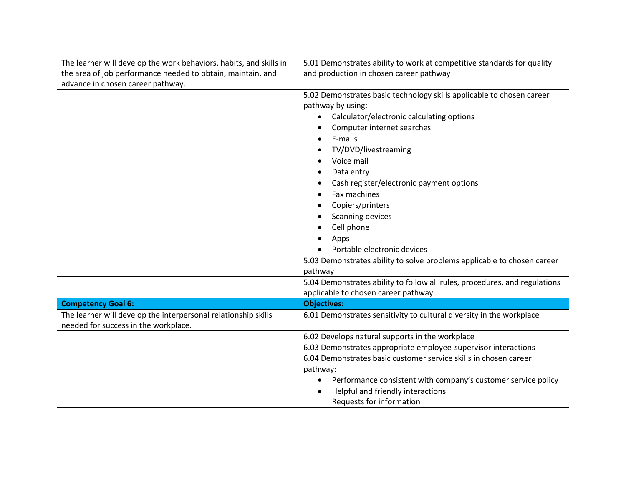| The learner will develop the work behaviors, habits, and skills in                                     | 5.01 Demonstrates ability to work at competitive standards for quality                                                                                                                                                                                                                                                                                                |
|--------------------------------------------------------------------------------------------------------|-----------------------------------------------------------------------------------------------------------------------------------------------------------------------------------------------------------------------------------------------------------------------------------------------------------------------------------------------------------------------|
| the area of job performance needed to obtain, maintain, and                                            | and production in chosen career pathway                                                                                                                                                                                                                                                                                                                               |
| advance in chosen career pathway.                                                                      |                                                                                                                                                                                                                                                                                                                                                                       |
|                                                                                                        | 5.02 Demonstrates basic technology skills applicable to chosen career<br>pathway by using:<br>Calculator/electronic calculating options<br>Computer internet searches<br>E-mails<br>TV/DVD/livestreaming<br>Voice mail<br>Data entry<br>Cash register/electronic payment options<br>Fax machines<br>Copiers/printers<br><b>Scanning devices</b><br>Cell phone<br>Apps |
|                                                                                                        | Portable electronic devices                                                                                                                                                                                                                                                                                                                                           |
|                                                                                                        | 5.03 Demonstrates ability to solve problems applicable to chosen career<br>pathway                                                                                                                                                                                                                                                                                    |
|                                                                                                        | 5.04 Demonstrates ability to follow all rules, procedures, and regulations                                                                                                                                                                                                                                                                                            |
|                                                                                                        | applicable to chosen career pathway                                                                                                                                                                                                                                                                                                                                   |
| <b>Competency Goal 6:</b>                                                                              | <b>Objectives:</b>                                                                                                                                                                                                                                                                                                                                                    |
| The learner will develop the interpersonal relationship skills<br>needed for success in the workplace. | 6.01 Demonstrates sensitivity to cultural diversity in the workplace                                                                                                                                                                                                                                                                                                  |
|                                                                                                        | 6.02 Develops natural supports in the workplace                                                                                                                                                                                                                                                                                                                       |
|                                                                                                        | 6.03 Demonstrates appropriate employee-supervisor interactions                                                                                                                                                                                                                                                                                                        |
|                                                                                                        | 6.04 Demonstrates basic customer service skills in chosen career<br>pathway:                                                                                                                                                                                                                                                                                          |
|                                                                                                        | Performance consistent with company's customer service policy<br>٠                                                                                                                                                                                                                                                                                                    |
|                                                                                                        | Helpful and friendly interactions                                                                                                                                                                                                                                                                                                                                     |
|                                                                                                        | Requests for information                                                                                                                                                                                                                                                                                                                                              |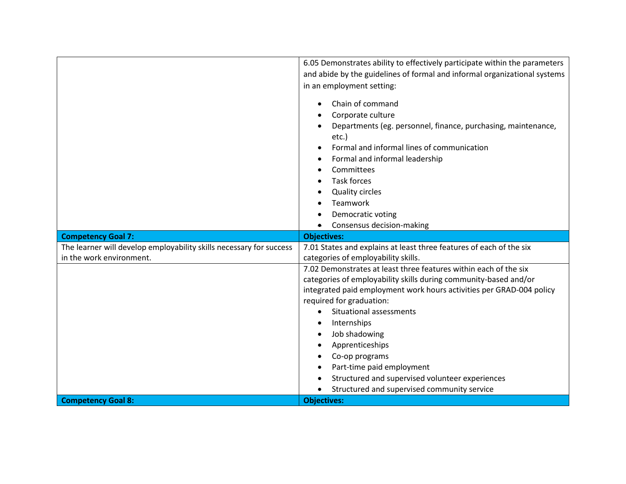|                                                                     | 6.05 Demonstrates ability to effectively participate within the parameters<br>and abide by the guidelines of formal and informal organizational systems<br>in an employment setting:                                                                                                                                                                                                                                                                                                          |
|---------------------------------------------------------------------|-----------------------------------------------------------------------------------------------------------------------------------------------------------------------------------------------------------------------------------------------------------------------------------------------------------------------------------------------------------------------------------------------------------------------------------------------------------------------------------------------|
|                                                                     | Chain of command<br>Corporate culture<br>Departments (eg. personnel, finance, purchasing, maintenance,<br>etc.)<br>Formal and informal lines of communication<br>Formal and informal leadership<br>Committees<br><b>Task forces</b><br><b>Quality circles</b><br>Teamwork<br>Democratic voting<br>Consensus decision-making                                                                                                                                                                   |
| <b>Competency Goal 7:</b>                                           | <b>Objectives:</b>                                                                                                                                                                                                                                                                                                                                                                                                                                                                            |
| The learner will develop employability skills necessary for success | 7.01 States and explains at least three features of each of the six                                                                                                                                                                                                                                                                                                                                                                                                                           |
| in the work environment.                                            | categories of employability skills.                                                                                                                                                                                                                                                                                                                                                                                                                                                           |
| <b>Competency Goal 8:</b>                                           | 7.02 Demonstrates at least three features within each of the six<br>categories of employability skills during community-based and/or<br>integrated paid employment work hours activities per GRAD-004 policy<br>required for graduation:<br>Situational assessments<br>Internships<br>Job shadowing<br>Apprenticeships<br>Co-op programs<br>Part-time paid employment<br>Structured and supervised volunteer experiences<br>Structured and supervised community service<br><b>Objectives:</b> |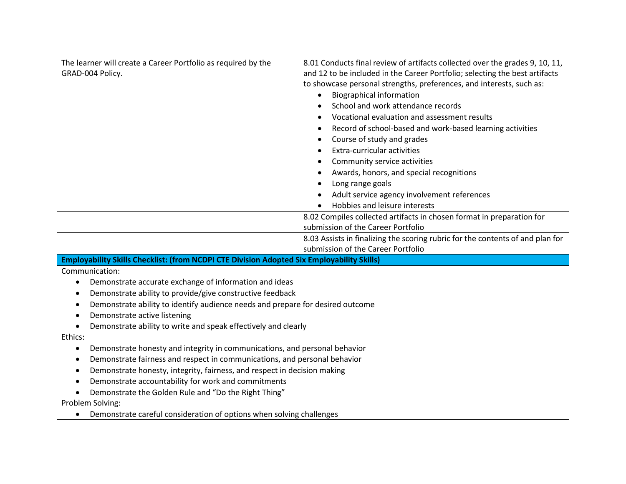| The learner will create a Career Portfolio as required by the<br>GRAD-004 Policy.           | 8.01 Conducts final review of artifacts collected over the grades 9, 10, 11,<br>and 12 to be included in the Career Portfolio; selecting the best artifacts<br>to showcase personal strengths, preferences, and interests, such as:<br><b>Biographical information</b><br>$\bullet$<br>School and work attendance records<br>Vocational evaluation and assessment results<br>Record of school-based and work-based learning activities<br>Course of study and grades<br>Extra-curricular activities<br>Community service activities<br>Awards, honors, and special recognitions<br>Long range goals<br>Adult service agency involvement references<br>Hobbies and leisure interests<br>8.02 Compiles collected artifacts in chosen format in preparation for |
|---------------------------------------------------------------------------------------------|--------------------------------------------------------------------------------------------------------------------------------------------------------------------------------------------------------------------------------------------------------------------------------------------------------------------------------------------------------------------------------------------------------------------------------------------------------------------------------------------------------------------------------------------------------------------------------------------------------------------------------------------------------------------------------------------------------------------------------------------------------------|
|                                                                                             | submission of the Career Portfolio                                                                                                                                                                                                                                                                                                                                                                                                                                                                                                                                                                                                                                                                                                                           |
|                                                                                             | 8.03 Assists in finalizing the scoring rubric for the contents of and plan for<br>submission of the Career Portfolio                                                                                                                                                                                                                                                                                                                                                                                                                                                                                                                                                                                                                                         |
| Employability Skills Checklist: (from NCDPI CTE Division Adopted Six Employability Skills)  |                                                                                                                                                                                                                                                                                                                                                                                                                                                                                                                                                                                                                                                                                                                                                              |
| Communication:                                                                              |                                                                                                                                                                                                                                                                                                                                                                                                                                                                                                                                                                                                                                                                                                                                                              |
| Demonstrate accurate exchange of information and ideas<br>$\bullet$                         |                                                                                                                                                                                                                                                                                                                                                                                                                                                                                                                                                                                                                                                                                                                                                              |
| Demonstrate ability to provide/give constructive feedback<br>$\bullet$                      |                                                                                                                                                                                                                                                                                                                                                                                                                                                                                                                                                                                                                                                                                                                                                              |
| Demonstrate ability to identify audience needs and prepare for desired outcome<br>$\bullet$ |                                                                                                                                                                                                                                                                                                                                                                                                                                                                                                                                                                                                                                                                                                                                                              |
| Demonstrate active listening<br>$\bullet$                                                   |                                                                                                                                                                                                                                                                                                                                                                                                                                                                                                                                                                                                                                                                                                                                                              |
| Demonstrate ability to write and speak effectively and clearly<br>$\bullet$                 |                                                                                                                                                                                                                                                                                                                                                                                                                                                                                                                                                                                                                                                                                                                                                              |
| Ethics:                                                                                     |                                                                                                                                                                                                                                                                                                                                                                                                                                                                                                                                                                                                                                                                                                                                                              |
| Demonstrate honesty and integrity in communications, and personal behavior<br>٠             |                                                                                                                                                                                                                                                                                                                                                                                                                                                                                                                                                                                                                                                                                                                                                              |
| Demonstrate fairness and respect in communications, and personal behavior<br>$\bullet$      |                                                                                                                                                                                                                                                                                                                                                                                                                                                                                                                                                                                                                                                                                                                                                              |
| Demonstrate honesty, integrity, fairness, and respect in decision making<br>$\bullet$       |                                                                                                                                                                                                                                                                                                                                                                                                                                                                                                                                                                                                                                                                                                                                                              |
| Demonstrate accountability for work and commitments                                         |                                                                                                                                                                                                                                                                                                                                                                                                                                                                                                                                                                                                                                                                                                                                                              |
| Demonstrate the Golden Rule and "Do the Right Thing"                                        |                                                                                                                                                                                                                                                                                                                                                                                                                                                                                                                                                                                                                                                                                                                                                              |
| Problem Solving:                                                                            |                                                                                                                                                                                                                                                                                                                                                                                                                                                                                                                                                                                                                                                                                                                                                              |
| Demonstrate careful consideration of options when solving challenges<br>$\bullet$           |                                                                                                                                                                                                                                                                                                                                                                                                                                                                                                                                                                                                                                                                                                                                                              |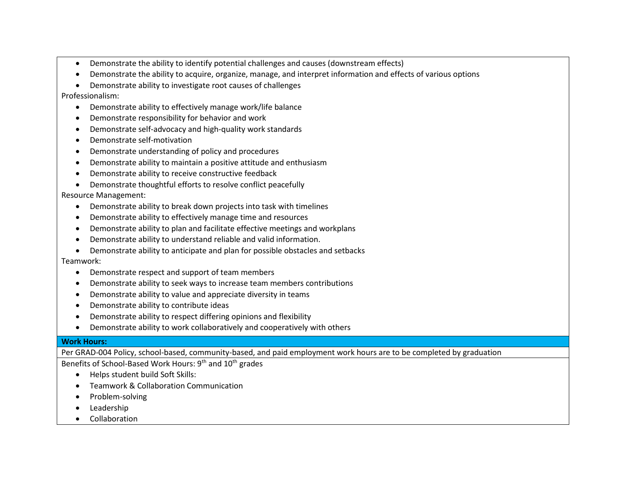- Demonstrate the ability to identify potential challenges and causes (downstream effects)
- Demonstrate the ability to acquire, organize, manage, and interpret information and effects of various options
- Demonstrate ability to investigate root causes of challenges

Professionalism:

- Demonstrate ability to effectively manage work/life balance
- Demonstrate responsibility for behavior and work
- Demonstrate self-advocacy and high-quality work standards
- Demonstrate self-motivation
- Demonstrate understanding of policy and procedures
- Demonstrate ability to maintain a positive attitude and enthusiasm
- Demonstrate ability to receive constructive feedback
- Demonstrate thoughtful efforts to resolve conflict peacefully

Resource Management:

- Demonstrate ability to break down projects into task with timelines
- Demonstrate ability to effectively manage time and resources
- Demonstrate ability to plan and facilitate effective meetings and workplans
- Demonstrate ability to understand reliable and valid information.
- Demonstrate ability to anticipate and plan for possible obstacles and setbacks

## Teamwork:

- Demonstrate respect and support of team members
- Demonstrate ability to seek ways to increase team members contributions
- Demonstrate ability to value and appreciate diversity in teams
- Demonstrate ability to contribute ideas
- Demonstrate ability to respect differing opinions and flexibility
- Demonstrate ability to work collaboratively and cooperatively with others

## **Work Hours:**

Per GRAD-004 Policy, school-based, community-based, and paid employment work hours are to be completed by graduation

Benefits of School-Based Work Hours: 9<sup>th</sup> and 10<sup>th</sup> grades

- Helps student build Soft Skills:
- Teamwork & Collaboration Communication
- Problem-solving
- Leadership
- Collaboration